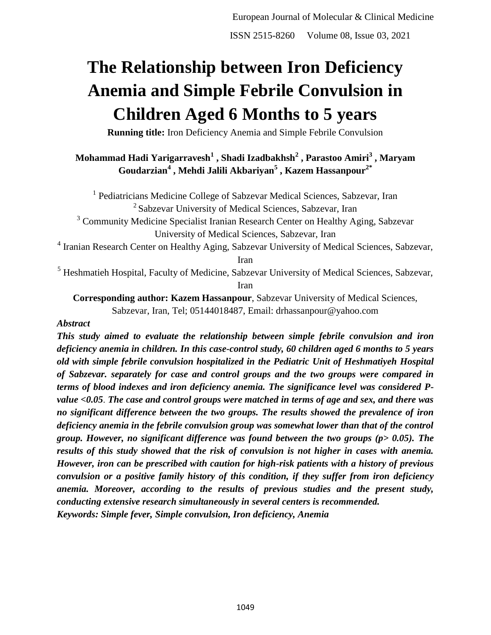# **The Relationship between Iron Deficiency Anemia and Simple Febrile Convulsion in Children Aged 6 Months to 5 years**

**Running title:** Iron Deficiency Anemia and Simple Febrile Convulsion

# **Mohammad Hadi Yarigarravesh<sup>1</sup> , Shadi Izadbakhsh<sup>2</sup> , Parastoo Amiri<sup>3</sup> , Maryam Goudarzian<sup>4</sup> , Mehdi Jalili Akbariyan<sup>5</sup> , Kazem Hassanpour2\***

<sup>1</sup> Pediatricians Medicine College of Sabzevar Medical Sciences, Sabzevar, Iran <sup>2</sup> Sabzevar University of Medical Sciences, Sabzevar, Iran

<sup>3</sup> Community Medicine Specialist Iranian Research Center on Healthy Aging, Sabzevar University of Medical Sciences, Sabzevar, Iran

<sup>4</sup> Iranian Research Center on Healthy Aging, Sabzevar University of Medical Sciences, Sabzevar, Iran

<sup>5</sup> Heshmatieh Hospital, Faculty of Medicine, Sabzevar University of Medical Sciences, Sabzevar, Iran

**Corresponding author: Kazem Hassanpour**, Sabzevar University of Medical Sciences, Sabzevar, Iran, Tel; 05144018487, Email: drhassanpour@yahoo.com

# *Abstract*

*This study aimed to evaluate the relationship between simple febrile convulsion and iron deficiency anemia in children. In this case-control study, 60 children aged 6 months to 5 years old with simple febrile convulsion hospitalized in the Pediatric Unit of Heshmatiyeh Hospital of Sabzevar. separately for case and control groups and the two groups were compared in terms of blood indexes and iron deficiency anemia. The significance level was considered Pvalue <0.05*. *The case and control groups were matched in terms of age and sex, and there was no significant difference between the two groups. The results showed the prevalence of iron deficiency anemia in the febrile convulsion group was somewhat lower than that of the control group. However, no significant difference was found between the two groups (p> 0.05). The results of this study showed that the risk of convulsion is not higher in cases with anemia. However, iron can be prescribed with caution for high-risk patients with a history of previous convulsion or a positive family history of this condition, if they suffer from iron deficiency anemia. Moreover, according to the results of previous studies and the present study, conducting extensive research simultaneously in several centers is recommended. Keywords: Simple fever, Simple convulsion, Iron deficiency, Anemia*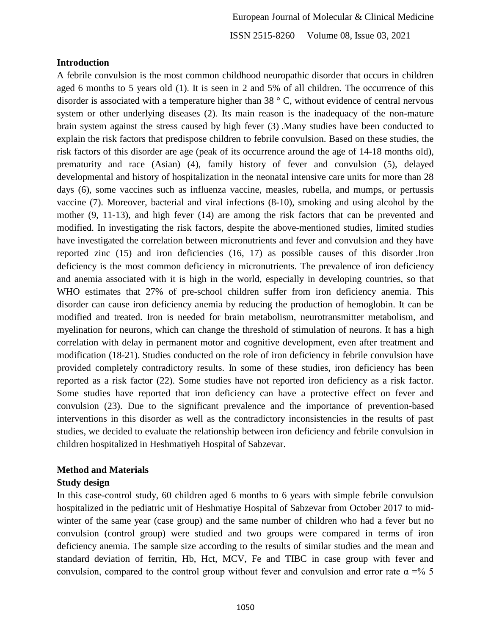### **Introduction**

A febrile convulsion is the most common childhood neuropathic disorder that occurs in children aged 6 months to 5 years old (1). It is seen in 2 and 5% of all children. The occurrence of this disorder is associated with a temperature higher than 38 ° C, without evidence of central nervous system or other underlying diseases (2). Its main reason is the inadequacy of the non-mature brain system against the stress caused by high fever (3) .Many studies have been conducted to explain the risk factors that predispose children to febrile convulsion. Based on these studies, the risk factors of this disorder are age (peak of its occurrence around the age of 14-18 months old), prematurity and race (Asian) (4), family history of fever and convulsion (5), delayed developmental and history of hospitalization in the neonatal intensive care units for more than 28 days (6), some vaccines such as influenza vaccine, measles, rubella, and mumps, or pertussis vaccine (7). Moreover, bacterial and viral infections (8-10), smoking and using alcohol by the mother (9, 11-13), and high fever (14) are among the risk factors that can be prevented and modified. In investigating the risk factors, despite the above-mentioned studies, limited studies have investigated the correlation between micronutrients and fever and convulsion and they have reported zinc (15) and iron deficiencies (16, 17) as possible causes of this disorder .Iron deficiency is the most common deficiency in micronutrients. The prevalence of iron deficiency and anemia associated with it is high in the world, especially in developing countries, so that WHO estimates that 27% of pre-school children suffer from iron deficiency anemia. This disorder can cause iron deficiency anemia by reducing the production of hemoglobin. It can be modified and treated. Iron is needed for brain metabolism, neurotransmitter metabolism, and myelination for neurons, which can change the threshold of stimulation of neurons. It has a high correlation with delay in permanent motor and cognitive development, even after treatment and modification (18-21). Studies conducted on the role of iron deficiency in febrile convulsion have provided completely contradictory results. In some of these studies, iron deficiency has been reported as a risk factor (22). Some studies have not reported iron deficiency as a risk factor. Some studies have reported that iron deficiency can have a protective effect on fever and convulsion (23). Due to the significant prevalence and the importance of prevention-based interventions in this disorder as well as the contradictory inconsistencies in the results of past studies, we decided to evaluate the relationship between iron deficiency and febrile convulsion in children hospitalized in Heshmatiyeh Hospital of Sabzevar.

# **Method and Materials**

# **Study design**

In this case-control study, 60 children aged 6 months to 6 years with simple febrile convulsion hospitalized in the pediatric unit of Heshmatiye Hospital of Sabzevar from October 2017 to midwinter of the same year (case group) and the same number of children who had a fever but no convulsion (control group) were studied and two groups were compared in terms of iron deficiency anemia. The sample size according to the results of similar studies and the mean and standard deviation of ferritin, Hb, Hct, MCV, Fe and TIBC in case group with fever and convulsion, compared to the control group without fever and convulsion and error rate  $\alpha = \frac{9}{6}$  5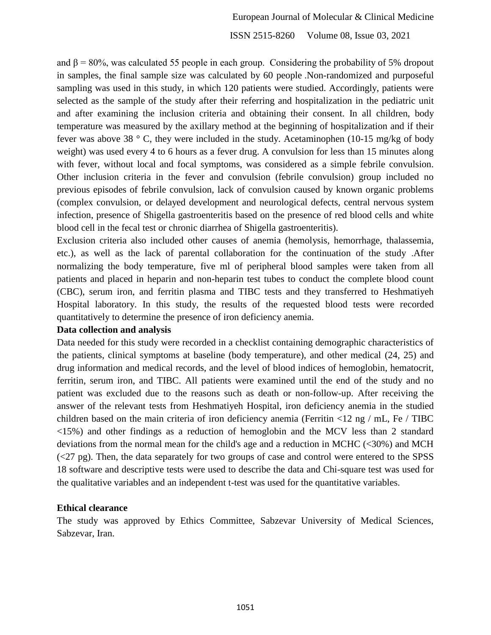ISSN 2515-8260 Volume 08, Issue 03, 2021

and  $\beta$  = 80%, was calculated 55 people in each group. Considering the probability of 5% dropout in samples, the final sample size was calculated by 60 people .Non-randomized and purposeful sampling was used in this study, in which 120 patients were studied. Accordingly, patients were selected as the sample of the study after their referring and hospitalization in the pediatric unit and after examining the inclusion criteria and obtaining their consent. In all children, body temperature was measured by the axillary method at the beginning of hospitalization and if their fever was above 38 ° C, they were included in the study. Acetaminophen (10-15 mg/kg of body weight) was used every 4 to 6 hours as a fever drug. A convulsion for less than 15 minutes along with fever, without local and focal symptoms, was considered as a simple febrile convulsion. Other inclusion criteria in the fever and convulsion (febrile convulsion) group included no previous episodes of febrile convulsion, lack of convulsion caused by known organic problems (complex convulsion, or delayed development and neurological defects, central nervous system infection, presence of Shigella gastroenteritis based on the presence of red blood cells and white blood cell in the fecal test or chronic diarrhea of Shigella gastroenteritis).

Exclusion criteria also included other causes of anemia (hemolysis, hemorrhage, thalassemia, etc.), as well as the lack of parental collaboration for the continuation of the study .After normalizing the body temperature, five ml of peripheral blood samples were taken from all patients and placed in heparin and non-heparin test tubes to conduct the complete blood count (CBC), serum iron, and ferritin plasma and TIBC tests and they transferred to Heshmatiyeh Hospital laboratory. In this study, the results of the requested blood tests were recorded quantitatively to determine the presence of iron deficiency anemia.

#### **Data collection and analysis**

Data needed for this study were recorded in a checklist containing demographic characteristics of the patients, clinical symptoms at baseline (body temperature), and other medical (24, 25) and drug information and medical records, and the level of blood indices of hemoglobin, hematocrit, ferritin, serum iron, and TIBC. All patients were examined until the end of the study and no patient was excluded due to the reasons such as death or non-follow-up. After receiving the answer of the relevant tests from Heshmatiyeh Hospital, iron deficiency anemia in the studied children based on the main criteria of iron deficiency anemia (Ferritin <12 ng / mL, Fe / TIBC <15%) and other findings as a reduction of hemoglobin and the MCV less than 2 standard deviations from the normal mean for the child's age and a reduction in MCHC (<30%) and MCH  $(\leq 27 \text{ pg})$ . Then, the data separately for two groups of case and control were entered to the SPSS 18 software and descriptive tests were used to describe the data and Chi-square test was used for the qualitative variables and an independent t-test was used for the quantitative variables.

#### **Ethical clearance**

The study was approved by Ethics Committee, Sabzevar University of Medical Sciences, Sabzevar, Iran.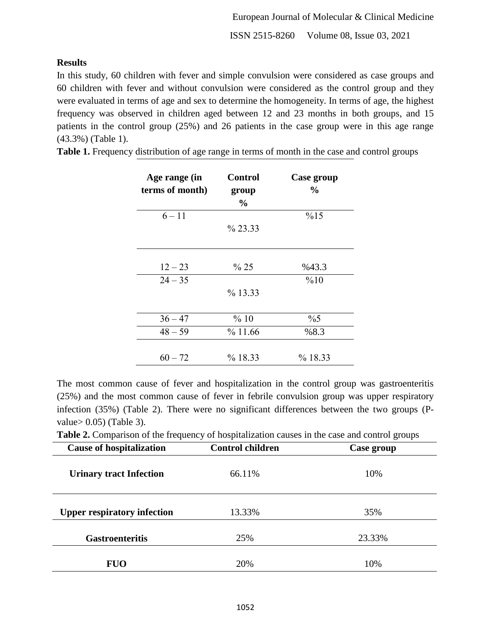## **Results**

In this study, 60 children with fever and simple convulsion were considered as case groups and 60 children with fever and without convulsion were considered as the control group and they were evaluated in terms of age and sex to determine the homogeneity. In terms of age, the highest frequency was observed in children aged between 12 and 23 months in both groups, and 15 patients in the control group (25%) and 26 patients in the case group were in this age range (43.3%) (Table 1).

| Age range (in<br>terms of month) | <b>Control</b><br>group<br>$\frac{6}{9}$ | Case group<br>$\%$ |
|----------------------------------|------------------------------------------|--------------------|
| $6 - 11$                         |                                          | %15                |
|                                  | % 23.33                                  |                    |
|                                  |                                          |                    |
| $12 - 23$                        | % 25                                     | %43.3              |
| $24 - 35$                        |                                          | %10                |
|                                  | % 13.33                                  |                    |
| $36 - 47$                        | %10                                      | $\%5$              |
| $48 - 59$                        | %11.66                                   | %8.3               |
| $60 - 72$                        | % 18.33                                  | % 18.33            |

**Table 1.** Frequency distribution of age range in terms of month in the case and control groups

The most common cause of fever and hospitalization in the control group was gastroenteritis (25%) and the most common cause of fever in febrile convulsion group was upper respiratory infection (35%) (Table 2). There were no significant differences between the two groups (Pvalue> 0.05) (Table 3).

**Table 2.** Comparison of the frequency of hospitalization causes in the case and control groups

| <b>Cause of hospitalization</b>    | <b>Control children</b> | Case group |
|------------------------------------|-------------------------|------------|
| <b>Urinary tract Infection</b>     | 66.11%                  | 10%        |
| <b>Upper respiratory infection</b> | 13.33%                  | 35%        |
| <b>Gastroenteritis</b>             | 25%                     | 23.33%     |
| <b>FUO</b>                         | 20%                     | 10%        |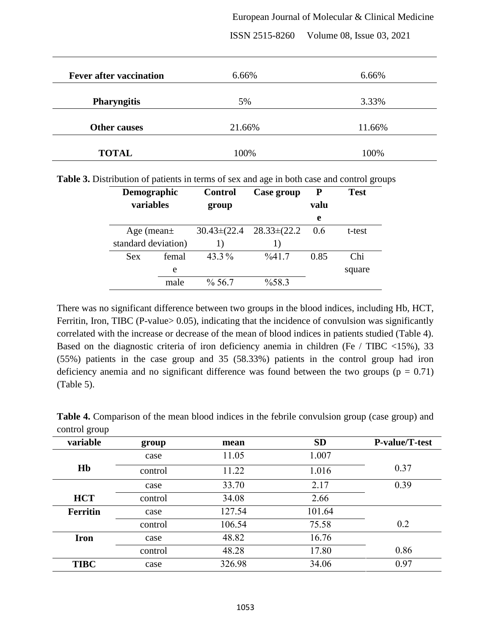#### European Journal of Molecular & Clinical Medicine

| 6.66%  | 6.66%  |
|--------|--------|
| 5%     | 3.33%  |
| 21.66% | 11.66% |
| 100%   | 100%   |
|        |        |

ISSN 2515-8260 Volume 08, Issue 03, 2021

| <b>Demographic</b><br>variables |       | <b>Control</b><br>group | Case group         | P<br>valu | <b>Test</b> |
|---------------------------------|-------|-------------------------|--------------------|-----------|-------------|
|                                 |       |                         |                    | e         |             |
| Age (mean $\pm$                 |       | $30.43 \pm (22.4)$      | $28.33 \pm (22.2)$ | 0.6       | t-test      |
| standard deviation)             |       | 1)                      |                    |           |             |
| <b>Sex</b>                      | femal | $43.3\%$                | $\frac{9}{6}41.7$  | 0.85      | Chi         |
|                                 | e     |                         |                    |           | square      |
|                                 | male  | $\%$ 56.7               | %58.3              |           |             |

There was no significant difference between two groups in the blood indices, including Hb, HCT, Ferritin, Iron, TIBC (P-value> 0.05), indicating that the incidence of convulsion was significantly correlated with the increase or decrease of the mean of blood indices in patients studied (Table 4). Based on the diagnostic criteria of iron deficiency anemia in children (Fe / TIBC <15%), 33 (55%) patients in the case group and 35 (58.33%) patients in the control group had iron deficiency anemia and no significant difference was found between the two groups ( $p = 0.71$ ) (Table 5).

| variable        | group   | mean   | <b>SD</b> | P-value/T-test |
|-----------------|---------|--------|-----------|----------------|
|                 | case    | 11.05  | 1.007     |                |
| Hb              | control | 11.22  | 1.016     | 0.37           |
|                 | case    | 33.70  | 2.17      | 0.39           |
| <b>HCT</b>      | control | 34.08  | 2.66      |                |
| <b>Ferritin</b> | case    | 127.54 | 101.64    |                |
|                 | control | 106.54 | 75.58     | 0.2            |
| <b>Iron</b>     | case    | 48.82  | 16.76     |                |
|                 | control | 48.28  | 17.80     | 0.86           |
| <b>TIBC</b>     | case    | 326.98 | 34.06     | 0.97           |

**Table 4.** Comparison of the mean blood indices in the febrile convulsion group (case group) and control group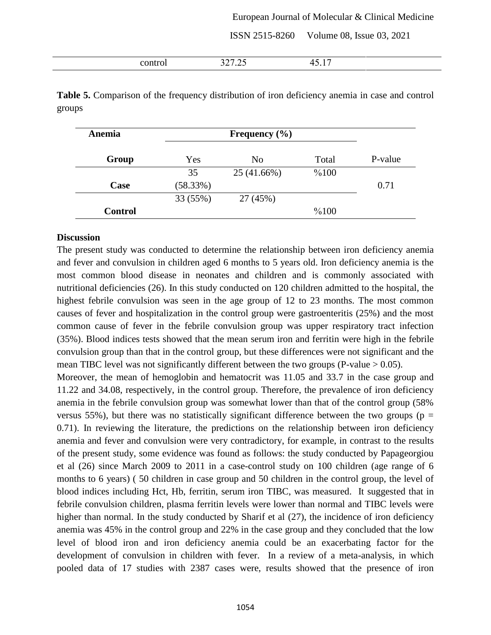#### European Journal of Molecular & Clinical Medicine

ISSN 2515-8260 Volume 08, Issue 03, 2021

| . | ، سەپ<br>.<br>$ -$ | . .<br>,,<br>- - - - |  |
|---|--------------------|----------------------|--|

**Table 5.** Comparison of the frequency distribution of iron deficiency anemia in case and control groups

| Anemia         | Frequency $(\% )$ |                |       |         |
|----------------|-------------------|----------------|-------|---------|
| Group          | Yes               | N <sub>0</sub> | Total | P-value |
|                | 35                | 25 (41.66%)    | %100  |         |
| Case           | (58.33%)          |                |       | 0.71    |
|                | 33 (55%)          | 27 (45%)       |       |         |
| <b>Control</b> |                   |                | %100  |         |

#### **Discussion**

The present study was conducted to determine the relationship between iron deficiency anemia and fever and convulsion in children aged 6 months to 5 years old. Iron deficiency anemia is the most common blood disease in neonates and children and is commonly associated with nutritional deficiencies (26). In this study conducted on 120 children admitted to the hospital, the highest febrile convulsion was seen in the age group of 12 to 23 months. The most common causes of fever and hospitalization in the control group were gastroenteritis (25%) and the most common cause of fever in the febrile convulsion group was upper respiratory tract infection (35%). Blood indices tests showed that the mean serum iron and ferritin were high in the febrile convulsion group than that in the control group, but these differences were not significant and the mean TIBC level was not significantly different between the two groups (P-value  $> 0.05$ ).

Moreover, the mean of hemoglobin and hematocrit was 11.05 and 33.7 in the case group and 11.22 and 34.08, respectively, in the control group. Therefore, the prevalence of iron deficiency anemia in the febrile convulsion group was somewhat lower than that of the control group (58% versus 55%), but there was no statistically significant difference between the two groups ( $p =$ 0.71). In reviewing the literature, the predictions on the relationship between iron deficiency anemia and fever and convulsion were very contradictory, for example, in contrast to the results of the present study, some evidence was found as follows: the study conducted by Papageorgiou et al (26) since March 2009 to 2011 in a case-control study on 100 children (age range of 6 months to 6 years) ( 50 children in case group and 50 children in the control group, the level of blood indices including Hct, Hb, ferritin, serum iron TIBC, was measured. It suggested that in febrile convulsion children, plasma ferritin levels were lower than normal and TIBC levels were higher than normal. In the study conducted by Sharif et al (27), the incidence of iron deficiency anemia was 45% in the control group and 22% in the case group and they concluded that the low level of blood iron and iron deficiency anemia could be an exacerbating factor for the development of convulsion in children with fever. In a review of a meta-analysis, in which pooled data of 17 studies with 2387 cases were, results showed that the presence of iron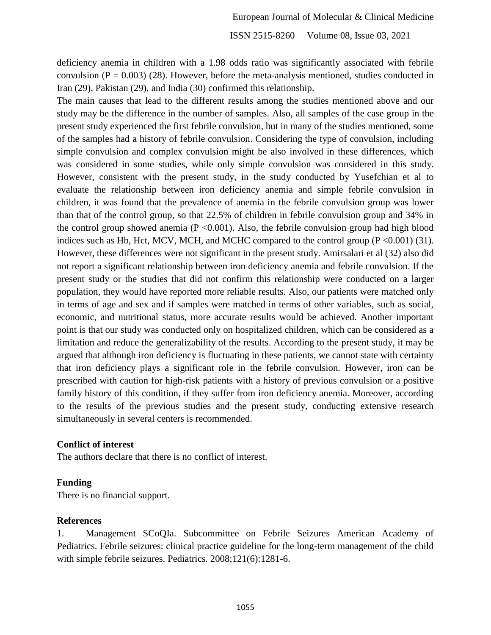deficiency anemia in children with a 1.98 odds ratio was significantly associated with febrile convulsion ( $P = 0.003$ ) (28). However, before the meta-analysis mentioned, studies conducted in Iran (29), Pakistan (29), and India (30) confirmed this relationship.

The main causes that lead to the different results among the studies mentioned above and our study may be the difference in the number of samples. Also, all samples of the case group in the present study experienced the first febrile convulsion, but in many of the studies mentioned, some of the samples had a history of febrile convulsion. Considering the type of convulsion, including simple convulsion and complex convulsion might be also involved in these differences, which was considered in some studies, while only simple convulsion was considered in this study. However, consistent with the present study, in the study conducted by Yusefchian et al to evaluate the relationship between iron deficiency anemia and simple febrile convulsion in children, it was found that the prevalence of anemia in the febrile convulsion group was lower than that of the control group, so that 22.5% of children in febrile convulsion group and 34% in the control group showed anemia ( $P \le 0.001$ ). Also, the febrile convulsion group had high blood indices such as Hb, Hct, MCV, MCH, and MCHC compared to the control group  $(P \le 0.001)$  (31). However, these differences were not significant in the present study. Amirsalari et al (32) also did not report a significant relationship between iron deficiency anemia and febrile convulsion. If the present study or the studies that did not confirm this relationship were conducted on a larger population, they would have reported more reliable results. Also, our patients were matched only in terms of age and sex and if samples were matched in terms of other variables, such as social, economic, and nutritional status, more accurate results would be achieved. Another important point is that our study was conducted only on hospitalized children, which can be considered as a limitation and reduce the generalizability of the results. According to the present study, it may be argued that although iron deficiency is fluctuating in these patients, we cannot state with certainty that iron deficiency plays a significant role in the febrile convulsion. However, iron can be prescribed with caution for high-risk patients with a history of previous convulsion or a positive family history of this condition, if they suffer from iron deficiency anemia. Moreover, according to the results of the previous studies and the present study, conducting extensive research simultaneously in several centers is recommended.

### **Conflict of interest**

The authors declare that there is no conflict of interest.

### **Funding**

There is no financial support.

### **References**

1. Management SCoQIa. Subcommittee on Febrile Seizures American Academy of Pediatrics. Febrile seizures: clinical practice guideline for the long-term management of the child with simple febrile seizures. Pediatrics. 2008;121(6):1281-6.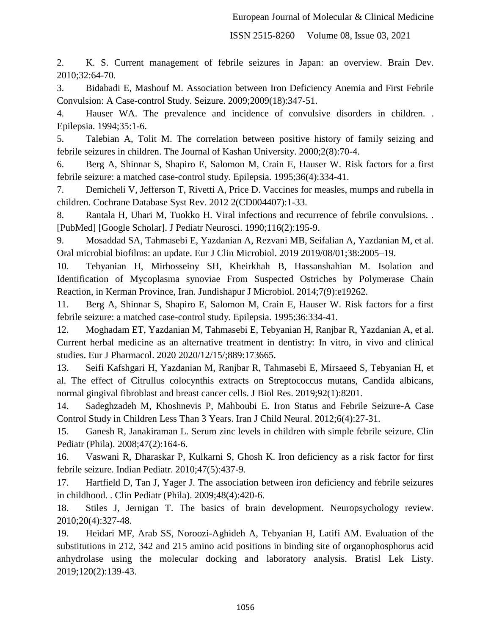ISSN 2515-8260 Volume 08, Issue 03, 2021

2. K. S. Current management of febrile seizures in Japan: an overview. Brain Dev. 2010;32:64-70.

3. Bidabadi E, Mashouf M. Association between Iron Deficiency Anemia and First Febrile Convulsion: A Case-control Study. Seizure. 2009;2009(18):347-51.

4. Hauser WA. The prevalence and incidence of convulsive disorders in children. . Epilepsia. 1994;35:1-6.

5. Talebian A, Tolit M. The correlation between positive history of family seizing and febrile seizures in children. The Journal of Kashan University. 2000;2(8):70-4.

6. Berg A, Shinnar S, Shapiro E, Salomon M, Crain E, Hauser W. Risk factors for a first febrile seizure: a matched case-control study. Epilepsia. 1995;36(4):334-41.

7. Demicheli V, Jefferson T, Rivetti A, Price D. Vaccines for measles, mumps and rubella in children. Cochrane Database Syst Rev. 2012 2(CD004407):1-33.

8. Rantala H, Uhari M, Tuokko H. Viral infections and recurrence of febrile convulsions. . [PubMed] [Google Scholar]. J Pediatr Neurosci. 1990;116(2):195-9.

9. Mosaddad SA, Tahmasebi E, Yazdanian A, Rezvani MB, Seifalian A, Yazdanian M, et al. Oral microbial biofilms: an update. Eur J Clin Microbiol. 2019 2019/08/01;38:2005–19.

10. Tebyanian H, Mirhosseiny SH, Kheirkhah B, Hassanshahian M. Isolation and Identification of Mycoplasma synoviae From Suspected Ostriches by Polymerase Chain Reaction, in Kerman Province, Iran. Jundishapur J Microbiol. 2014;7(9):e19262.

11. Berg A, Shinnar S, Shapiro E, Salomon M, Crain E, Hauser W. Risk factors for a first febrile seizure: a matched case-control study. Epilepsia. 1995;36:334-41.

12. Moghadam ET, Yazdanian M, Tahmasebi E, Tebyanian H, Ranjbar R, Yazdanian A, et al. Current herbal medicine as an alternative treatment in dentistry: In vitro, in vivo and clinical studies. Eur J Pharmacol. 2020 2020/12/15/;889:173665.

13. Seifi Kafshgari H, Yazdanian M, Ranjbar R, Tahmasebi E, Mirsaeed S, Tebyanian H, et al. The effect of Citrullus colocynthis extracts on Streptococcus mutans, Candida albicans, normal gingival fibroblast and breast cancer cells. J Biol Res. 2019;92(1):8201.

14. Sadeghzadeh M, Khoshnevis P, Mahboubi E. Iron Status and Febrile Seizure-A Case Control Study in Children Less Than 3 Years. Iran J Child Neural. 2012;6(4):27-31.

15. Ganesh R, Janakiraman L. Serum zinc levels in children with simple febrile seizure. Clin Pediatr (Phila). 2008;47(2):164-6.

16. Vaswani R, Dharaskar P, Kulkarni S, Ghosh K. Iron deficiency as a risk factor for first febrile seizure. Indian Pediatr. 2010;47(5):437-9.

17. Hartfield D, Tan J, Yager J. The association between iron deficiency and febrile seizures in childhood. . Clin Pediatr (Phila). 2009;48(4):420-6.

18. Stiles J, Jernigan T. The basics of brain development. Neuropsychology review. 2010;20(4):327-48.

19. Heidari MF, Arab SS, Noroozi-Aghideh A, Tebyanian H, Latifi AM. Evaluation of the substitutions in 212, 342 and 215 amino acid positions in binding site of organophosphorus acid anhydrolase using the molecular docking and laboratory analysis. Bratisl Lek Listy. 2019;120(2):139-43.